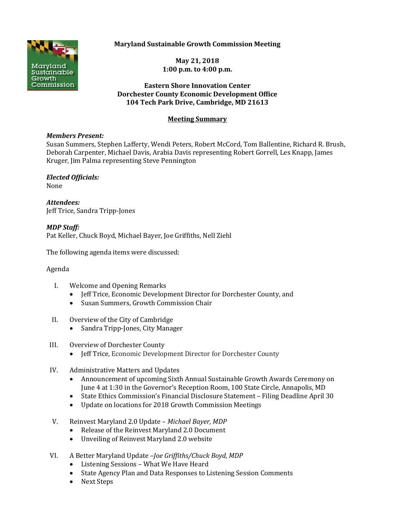

# **Maryland Sustainable Growth Commission Meeting**

**May 21, 2018 1:00 p.m. to 4:00 p.m.**

### **Eastern Shore Innovation Center Dorchester County Economic Development Office 104 Tech Park Drive, Cambridge, MD 21613**

# **Meeting Summary**

### *Members Present:*

Susan Summers, Stephen Lafferty, Wendi Peters, Robert McCord, Tom Ballentine, Richard R. Brush, Deborah Carpenter, Michael Davis, Arabia Davis representing Robert Gorrell, Les Knapp, James Kruger, Jim Palma representing Steve Pennington

#### *Elected Officials:* None

*Attendees:* Jeff Trice, Sandra Tripp-Jones

*MDP Staff:* Pat Keller, Chuck Boyd, Michael Bayer, Joe Griffiths, Nell Ziehl

The following agenda items were discussed:

# Agenda

- I. Welcome and Opening Remarks
	- Jeff Trice, Economic Development Director for Dorchester County, and
	- Susan Summers, Growth Commission Chair
- II. Overview of the City of Cambridge
	- Sandra Tripp-Jones, City Manager
- III. Overview of Dorchester County
	- Jeff Trice, Economic Development Director for Dorchester County
- IV. Administrative Matters and Updates
	- Announcement of upcoming Sixth Annual Sustainable Growth Awards Ceremony on June 4 at 1:30 in the Governor's Reception Room, 100 State Circle, Annapolis, MD
	- State Ethics Commission's Financial Disclosure Statement Filing Deadline April 30
	- Update on locations for 2018 Growth Commission Meetings
- V. Reinvest Maryland 2.0 Update *Michael Bayer, MDP*
	- Release of the Reinvest Maryland 2.0 Document
	- Unveiling of Reinvest Maryland 2.0 website
- VI. A Better Maryland Update –*Joe Griffiths/Chuck Boyd, MDP*
	- Listening Sessions What We Have Heard
	- State Agency Plan and Data Responses to Listening Session Comments
	- Next Steps